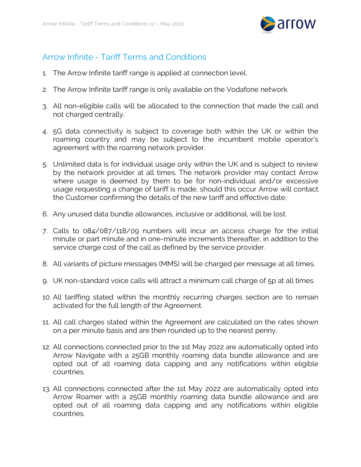

## Arrow Infinite - Tariff Terms and Conditions

- 1. The Arrow Infinite tariff range is applied at connection level.
- 2. The Arrow Infinite tariff range is only available on the Vodafone network.
- 3. All non-eligible calls will be allocated to the connection that made the call and not charged centrally.
- 4. 5G data connectivity is subject to coverage both within the UK or within the roaming country and may be subject to the incumbent mobile operator's agreement with the roaming network provider.
- 5. Unlimited data is for individual usage only within the UK and is subject to review by the network provider at all times. The network provider may contact Arrow where usage is deemed by them to be for non-individual and/or excessive usage requesting a change of tariff is made, should this occur Arrow will contact the Customer confirming the details of the new tariff and effective date.
- 6. Any unused data bundle allowances, inclusive or additional, will be lost.
- 7. Calls to 084/087/118/09 numbers will incur an access charge for the initial minute or part minute and in one-minute increments thereafter, in addition to the service charge cost of the call as defined by the service provider.
- 8. All variants of picture messages (MMS) will be charged per message at all times.
- 9. UK non-standard voice calls will attract a minimum call charge of 5p at all times.
- 10. All tariffing stated within the monthly recurring charges section are to remain activated for the full length of the Agreement.
- 11. All call charges stated within the Agreement are calculated on the rates shown on a per minute basis and are then rounded up to the nearest penny.
- 12. All connections connected prior to the 1st May 2022 are automatically opted into Arrow Navigate with a 25GB monthly roaming data bundle allowance and are opted out of all roaming data capping and any notifications within eligible countries.
- 13. All connections connected after the 1st May 2022 are automatically opted into Arrow Roamer with a 25GB monthly roaming data bundle allowance and are opted out of all roaming data capping and any notifications within eligible countries.